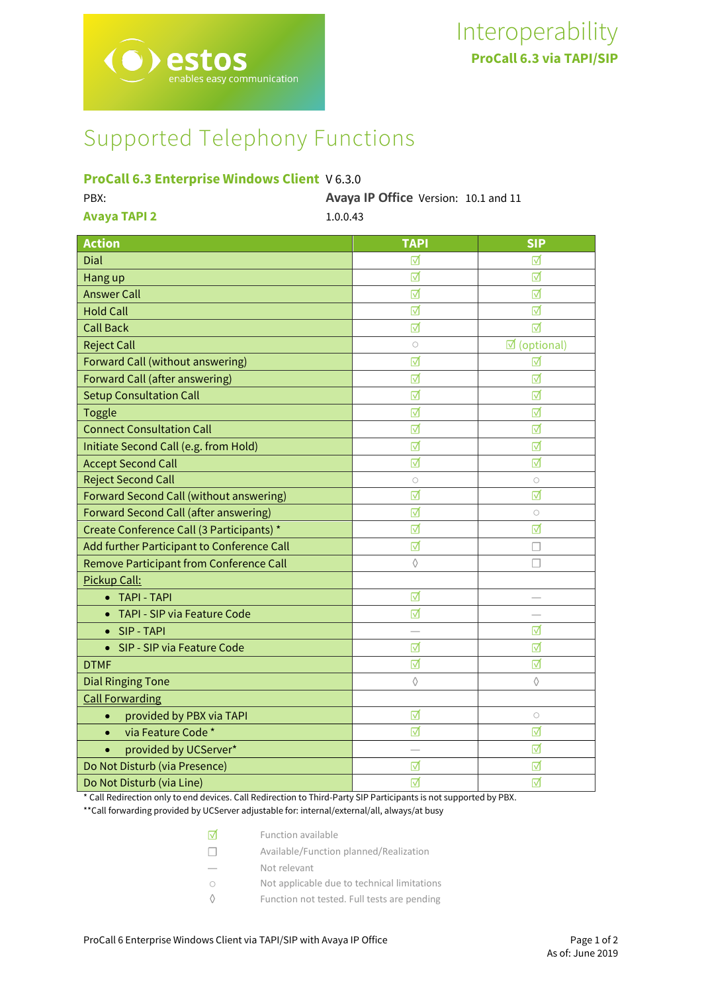PBX: **Avaya IP Office** Version: 10.1 and 11

# Supported Telephony Functions

# **ProCall 6.3 Enterprise Windows Client** V 6.3.0

| PBX:                | <b>Avaya IP Office Version:</b> |
|---------------------|---------------------------------|
| <b>Avaya TAPI 2</b> | 1.0.0.43                        |

| <b>Action</b>                              | <b>TAPI</b> | <b>SIP</b>             |
|--------------------------------------------|-------------|------------------------|
| Dial                                       | ☑           | ☑                      |
| Hang up                                    | ☑           | ⊽                      |
| <b>Answer Call</b>                         | ☑           | ☑                      |
| <b>Hold Call</b>                           | ☑           | ☑                      |
| <b>Call Back</b>                           | ☑           | ⊺√                     |
| <b>Reject Call</b>                         | $\circ$     | $\mathbb I$ (optional) |
| Forward Call (without answering)           | ☑           | ⊽                      |
| <b>Forward Call (after answering)</b>      | ☑           | ⊽                      |
| <b>Setup Consultation Call</b>             | ☑           | ☑                      |
| <b>Toggle</b>                              | ☑           | ☑                      |
| <b>Connect Consultation Call</b>           | ☑           | ☑                      |
| Initiate Second Call (e.g. from Hold)      | ☑           | ☑                      |
| <b>Accept Second Call</b>                  | ☑           | ☑                      |
| <b>Reject Second Call</b>                  | $\circ$     | $\circ$                |
| Forward Second Call (without answering)    | ☑           | ☑                      |
| Forward Second Call (after answering)      | ☑           | $\circ$                |
| Create Conference Call (3 Participants) *  | ☑           | ☑                      |
| Add further Participant to Conference Call | ☑           | П                      |
| Remove Participant from Conference Call    | ♦           |                        |
| Pickup Call:                               |             |                        |
| • TAPI - TAPI                              | ☑           |                        |
| TAPI - SIP via Feature Code                | ☑           |                        |
| SIP - TAPI<br>$\bullet$                    |             | ☑                      |
| SIP - SIP via Feature Code                 | ⊺√          | ☑                      |
| <b>DTMF</b>                                | ☑           | ☑                      |
| <b>Dial Ringing Tone</b>                   | ♦           | ♦                      |
| <b>Call Forwarding</b>                     |             |                        |
| provided by PBX via TAPI<br>$\bullet$      | ☑           | $\circ$                |
| via Feature Code*<br>$\bullet$             | ☑           | ☑                      |
| provided by UCServer*<br>$\bullet$         |             | ☑                      |
| Do Not Disturb (via Presence)              | ☑           | ☑                      |
| Do Not Disturb (via Line)                  | ⊽           | ⊽                      |

\* Call Redirection only to end devices. Call Redirection to Third-Party SIP Participants is not supported by PBX.

\*\*Call forwarding provided by UCServer adjustable for: internal/external/all, always/at busy

- ☑ Function available ☐ Available/Function planned/Realization — Not relevant
- Not applicable due to technical limitations
- ◊ Function not tested. Full tests are pending